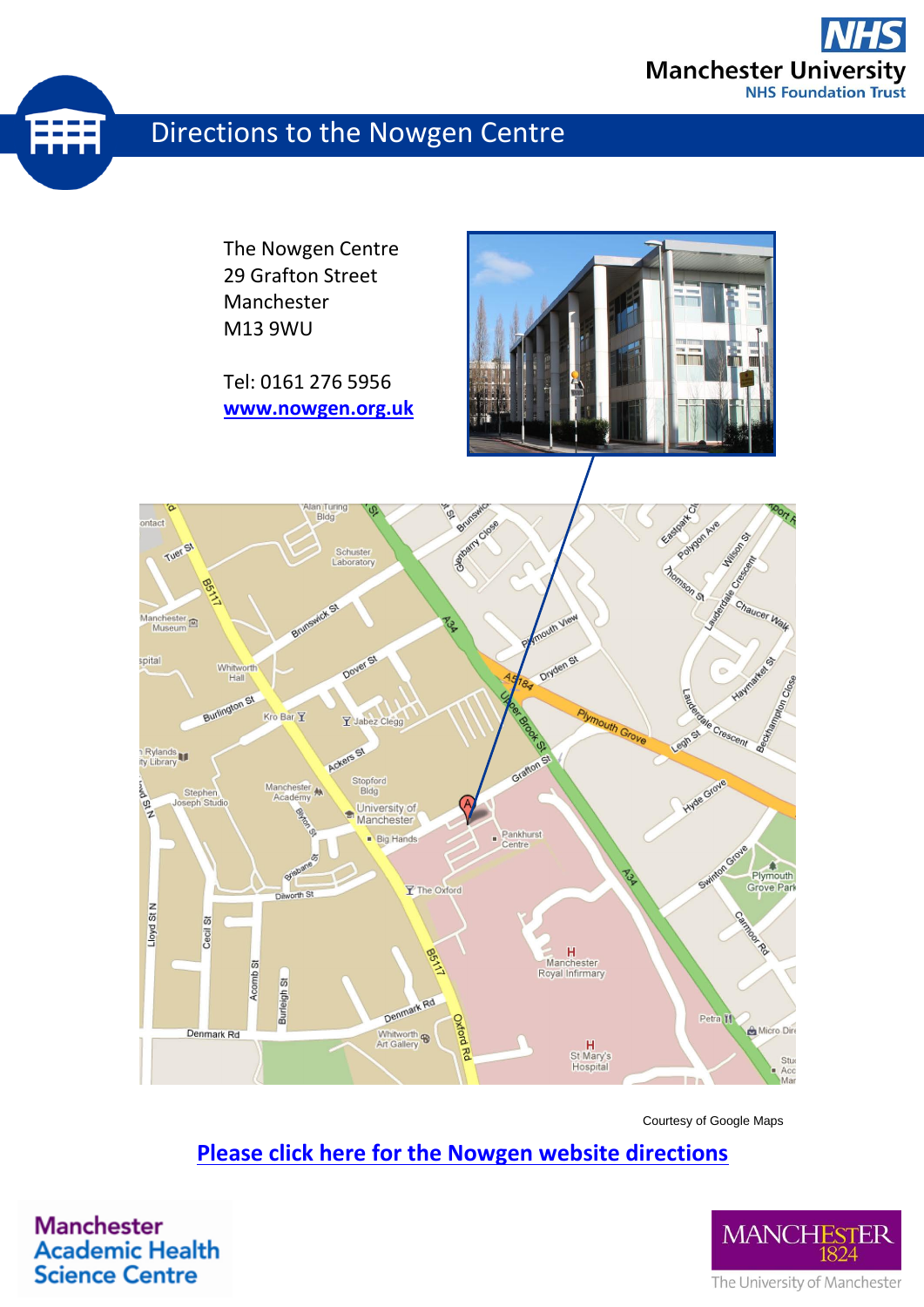

# Directions to the Nowgen Centre

The Nowgen Centre 29 Grafton Street Manchester M13 9WU

Tel: 0161 276 5956 **[www.nowgen.org.uk](http://www.nowgen.org.uk/)**





Courtesy of Google Maps

### **[Please click here for the Nowgen website directions](https://research.cmft.nhs.uk/facilities-services/meeting-event-facilities/contact-us)**

**Manchester Academic Health Science Centre**